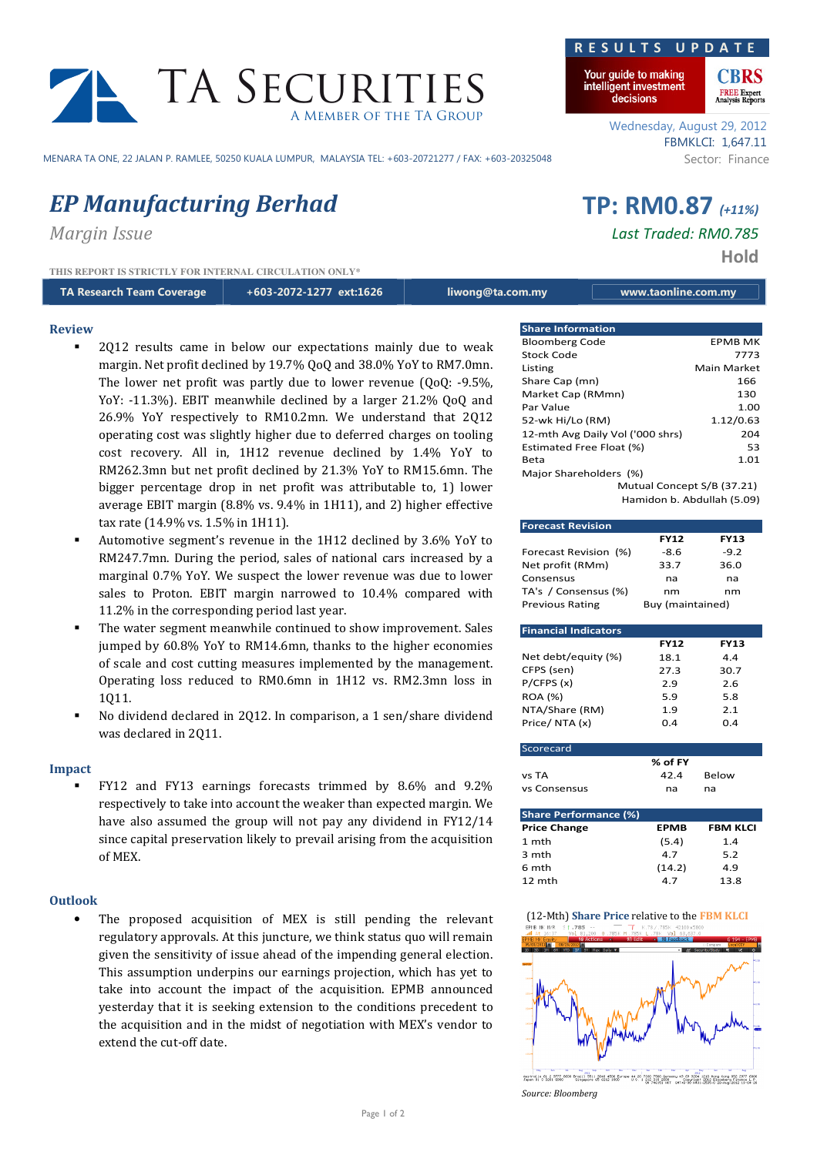

MENARA TA ONE, 22 JALAN P. RAMLEE, 50250 KUALA LUMPUR, MALAYSIA TEL: +603-20721277 / FAX: +603-20325048 Sector: Finance

# EP Manufacturing Berhad TP: RM0.87 (+11%)

Review

**THIS REPORT IS STRICTLY FOR INTERNAL CIRCULATION ONLY\***

TA Research Team Coverage +603-2072-1277 ext:1626 liwong@ta.com.my www.taonline.com.my

- 
- 2Q12 results came in below our expectations mainly due to weak margin. Net profit declined by 19.7% QoQ and 38.0% YoY to RM7.0mn. The lower net profit was partly due to lower revenue (QoQ: -9.5%, YoY: -11.3%). EBIT meanwhile declined by a larger 21.2% QoQ and 26.9% YoY respectively to RM10.2mn. We understand that 2Q12 operating cost was slightly higher due to deferred charges on tooling cost recovery. All in, 1H12 revenue declined by 1.4% YoY to RM262.3mn but net profit declined by 21.3% YoY to RM15.6mn. The bigger percentage drop in net profit was attributable to, 1) lower average EBIT margin (8.8% vs. 9.4% in 1H11), and 2) higher effective tax rate (14.9% vs. 1.5% in 1H11).
- Automotive segment's revenue in the 1H12 declined by 3.6% YoY to RM247.7mn. During the period, sales of national cars increased by a marginal 0.7% YoY. We suspect the lower revenue was due to lower sales to Proton. EBIT margin narrowed to 10.4% compared with 11.2% in the corresponding period last year.
- The water segment meanwhile continued to show improvement. Sales jumped by 60.8% YoY to RM14.6mn, thanks to the higher economies of scale and cost cutting measures implemented by the management. Operating loss reduced to RM0.6mn in 1H12 vs. RM2.3mn loss in 1Q11.
- No dividend declared in 2Q12. In comparison, a 1 sen/share dividend was declared in 2Q11.

### Impact

 FY12 and FY13 earnings forecasts trimmed by 8.6% and 9.2% respectively to take into account the weaker than expected margin. We have also assumed the group will not pay any dividend in FY12/14 since capital preservation likely to prevail arising from the acquisition of MEX.

### **Outlook**

• The proposed acquisition of MEX is still pending the relevant regulatory approvals. At this juncture, we think status quo will remain given the sensitivity of issue ahead of the impending general election. This assumption underpins our earnings projection, which has yet to take into account the impact of the acquisition. EPMB announced yesterday that it is seeking extension to the conditions precedent to the acquisition and in the midst of negotiation with MEX's vendor to extend the cut-off date.



Your guide to making intelligent investment decisions



Wednesday, August 29, 2012 FBMKLCI: 1,647.11

Margin Issue Last Traded: RM0.785

Hold

| <b>Share Information</b>         |                |  |  |  |
|----------------------------------|----------------|--|--|--|
| <b>Bloomberg Code</b>            | <b>EPMB MK</b> |  |  |  |
| Stock Code                       | 7773           |  |  |  |
| Listing                          | Main Market    |  |  |  |
| Share Cap (mn)                   | 166            |  |  |  |
| Market Cap (RMmn)                | 130            |  |  |  |
| Par Value                        | 1.00           |  |  |  |
| 52-wk Hi/Lo (RM)                 | 1.12/0.63      |  |  |  |
| 12-mth Avg Daily Vol ('000 shrs) | 204            |  |  |  |
| Estimated Free Float (%)         | 53             |  |  |  |
| Beta                             | 1.01           |  |  |  |
| Major Shareholders (%)           |                |  |  |  |
| Mutual Concept S/B (37.21)       |                |  |  |  |
| Hamidon b. Abdullah (5.09)       |                |  |  |  |

| <b>Forecast Revision</b>     |                  |             |  |  |  |
|------------------------------|------------------|-------------|--|--|--|
|                              | <b>FY12</b>      | <b>FY13</b> |  |  |  |
| Forecast Revision (%)        | -8.6             | $-9.2$      |  |  |  |
| Net profit (RMm)             | 33.7             | 36.0        |  |  |  |
| Consensus                    | na               | na          |  |  |  |
| TA's / Consensus (%)         | nm<br>nm         |             |  |  |  |
| <b>Previous Rating</b>       | Buy (maintained) |             |  |  |  |
|                              |                  |             |  |  |  |
| <b>Financial Indicators</b>  |                  |             |  |  |  |
|                              | <b>FY12</b>      | <b>FY13</b> |  |  |  |
| Net debt/equity (%)          | 18.1             | 4.4         |  |  |  |
| CFPS (sen)                   | 27.3             | 30.7        |  |  |  |
| P/CFPS(x)                    | 2.9              | 2.6         |  |  |  |
| <b>ROA (%)</b>               | 5.9              | 5.8         |  |  |  |
| NTA/Share (RM)               | 1.9              | 2.1         |  |  |  |
| Price/NTA(x)                 | 0.4              | 0.4         |  |  |  |
|                              |                  |             |  |  |  |
| Scorecard                    |                  |             |  |  |  |
|                              | % of FY          |             |  |  |  |
| vs TA                        | 42.4             | Below       |  |  |  |
| vs Consensus                 | na               | na          |  |  |  |
|                              |                  |             |  |  |  |
| <b>Share Performance (%)</b> |                  |             |  |  |  |
| Drica Change                 | CDNAD            | CDNA VI CI  |  |  |  |

| Share Ferrormance (70) |             |                 |  |  |  |
|------------------------|-------------|-----------------|--|--|--|
| <b>Price Change</b>    | <b>EPMB</b> | <b>FBM KLCI</b> |  |  |  |
| 1 mth                  | (5.4)       | 1.4             |  |  |  |
| 3 mth                  | 4.7         | 5.2             |  |  |  |
| 6 mth                  | (14.2)      | 4.9             |  |  |  |
| 12 mth                 | 47          | 13.8            |  |  |  |





Source: Bloomberg